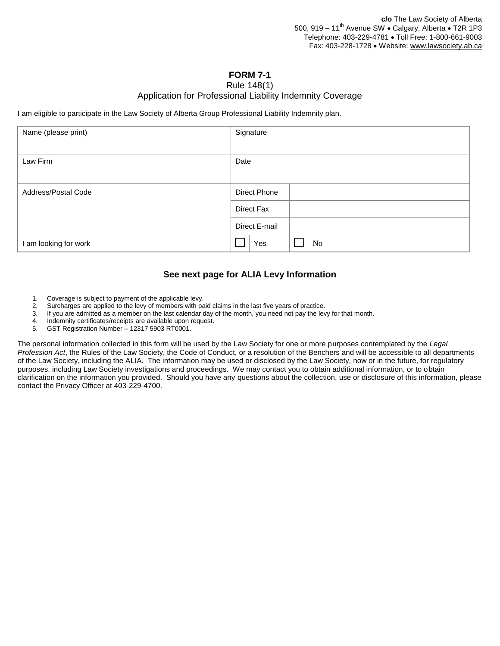## **FORM 7-1**

## Rule 148(1)

## Application for Professional Liability Indemnity Coverage

I am eligible to participate in the Law Society of Alberta Group Professional Liability Indemnity plan.

| Name (please print)   | Signature     |  |  |  |  |  |  |  |  |
|-----------------------|---------------|--|--|--|--|--|--|--|--|
| Law Firm              | Date          |  |  |  |  |  |  |  |  |
| Address/Postal Code   | Direct Phone  |  |  |  |  |  |  |  |  |
|                       | Direct Fax    |  |  |  |  |  |  |  |  |
|                       | Direct E-mail |  |  |  |  |  |  |  |  |
| I am looking for work | Yes<br>No     |  |  |  |  |  |  |  |  |

## **See next page for ALIA Levy Information**

- 1. Coverage is subject to payment of the applicable levy.
- 2. Surcharges are applied to the levy of members with paid claims in the last five years of practice.
- 3. If you are admitted as a member on the last calendar day of the month, you need not pay the levy for that month.
- 4. Indemnity certificates/receipts are available upon request.
- 5. GST Registration Number 12317 5903 RT0001.

The personal information collected in this form will be used by the Law Society for one or more purposes contemplated by the *Legal Profession Act*, the Rules of the Law Society, the Code of Conduct, or a resolution of the Benchers and will be accessible to all departments of the Law Society, including the ALIA. The information may be used or disclosed by the Law Society, now or in the future, for regulatory purposes, including Law Society investigations and proceedings. We may contact you to obtain additional information, or to obtain clarification on the information you provided. Should you have any questions about the collection, use or disclosure of this information, please contact the Privacy Officer at 403-229-4700.